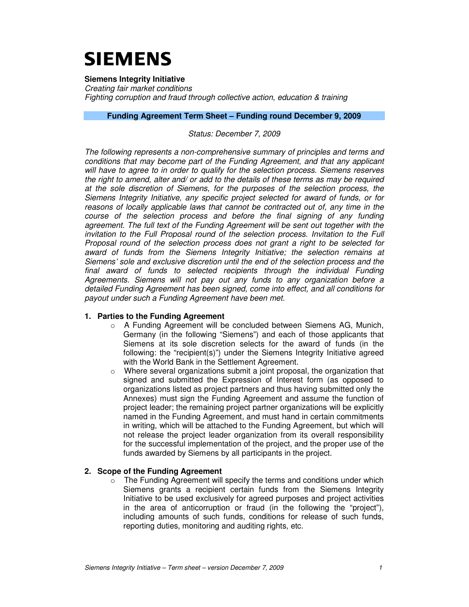# **SIEMENS**

**Siemens Integrity Initiative** 

Creating fair market conditions Fighting corruption and fraud through collective action, education & training

#### **Funding Agreement Term Sheet – Funding round December 9, 2009**

## Status: December 7, 2009

The following represents a non-comprehensive summary of principles and terms and conditions that may become part of the Funding Agreement, and that any applicant will have to agree to in order to qualify for the selection process. Siemens reserves the right to amend, alter and/ or add to the details of these terms as may be required at the sole discretion of Siemens, for the purposes of the selection process, the Siemens Integrity Initiative, any specific project selected for award of funds, or for reasons of locally applicable laws that cannot be contracted out of, any time in the course of the selection process and before the final signing of any funding agreement. The full text of the Funding Agreement will be sent out together with the invitation to the Full Proposal round of the selection process. Invitation to the Full Proposal round of the selection process does not grant a right to be selected for award of funds from the Siemens Integrity Initiative; the selection remains at Siemens' sole and exclusive discretion until the end of the selection process and the final award of funds to selected recipients through the individual Funding Agreements. Siemens will not pay out any funds to any organization before a detailed Funding Agreement has been signed, come into effect, and all conditions for payout under such a Funding Agreement have been met.

### **1. Parties to the Funding Agreement**

- $\circ$  A Funding Agreement will be concluded between Siemens AG, Munich, Germany (in the following "Siemens") and each of those applicants that Siemens at its sole discretion selects for the award of funds (in the following: the "recipient(s)") under the Siemens Integrity Initiative agreed with the World Bank in the Settlement Agreement.
- o Where several organizations submit a joint proposal, the organization that signed and submitted the Expression of Interest form (as opposed to organizations listed as project partners and thus having submitted only the Annexes) must sign the Funding Agreement and assume the function of project leader; the remaining project partner organizations will be explicitly named in the Funding Agreement, and must hand in certain commitments in writing, which will be attached to the Funding Agreement, but which will not release the project leader organization from its overall responsibility for the successful implementation of the project, and the proper use of the funds awarded by Siemens by all participants in the project.

### **2. Scope of the Funding Agreement**

o The Funding Agreement will specify the terms and conditions under which Siemens grants a recipient certain funds from the Siemens Integrity Initiative to be used exclusively for agreed purposes and project activities in the area of anticorruption or fraud (in the following the "project"), including amounts of such funds, conditions for release of such funds, reporting duties, monitoring and auditing rights, etc.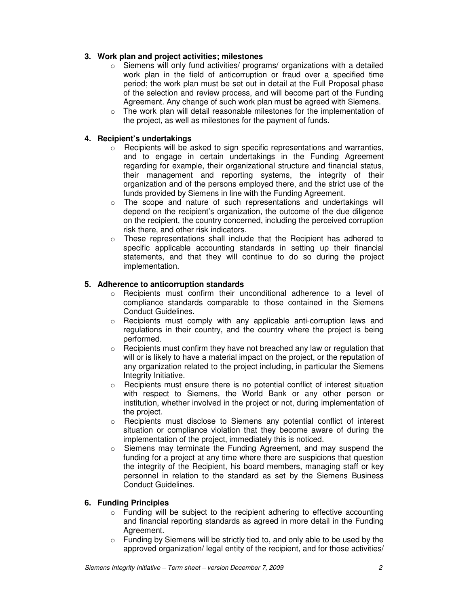# **3. Work plan and project activities; milestones**

- $\circ$  Siemens will only fund activities/ programs/ organizations with a detailed work plan in the field of anticorruption or fraud over a specified time period; the work plan must be set out in detail at the Full Proposal phase of the selection and review process, and will become part of the Funding Agreement. Any change of such work plan must be agreed with Siemens.
- $\circ$  The work plan will detail reasonable milestones for the implementation of the project, as well as milestones for the payment of funds.

# **4. Recipient's undertakings**

- o Recipients will be asked to sign specific representations and warranties, and to engage in certain undertakings in the Funding Agreement regarding for example, their organizational structure and financial status, their management and reporting systems, the integrity of their organization and of the persons employed there, and the strict use of the funds provided by Siemens in line with the Funding Agreement.
- o The scope and nature of such representations and undertakings will depend on the recipient's organization, the outcome of the due diligence on the recipient, the country concerned, including the perceived corruption risk there, and other risk indicators.
- $\circ$  These representations shall include that the Recipient has adhered to specific applicable accounting standards in setting up their financial statements, and that they will continue to do so during the project implementation.

## **5. Adherence to anticorruption standards**

- $\circ$  Recipients must confirm their unconditional adherence to a level of compliance standards comparable to those contained in the Siemens Conduct Guidelines.
- $\circ$  Recipients must comply with any applicable anti-corruption laws and regulations in their country, and the country where the project is being performed.
- $\circ$  Recipients must confirm they have not breached any law or regulation that will or is likely to have a material impact on the project, or the reputation of any organization related to the project including, in particular the Siemens Integrity Initiative.
- $\circ$  Recipients must ensure there is no potential conflict of interest situation with respect to Siemens, the World Bank or any other person or institution, whether involved in the project or not, during implementation of the project.
- o Recipients must disclose to Siemens any potential conflict of interest situation or compliance violation that they become aware of during the implementation of the project, immediately this is noticed.
- o Siemens may terminate the Funding Agreement, and may suspend the funding for a project at any time where there are suspicions that question the integrity of the Recipient, his board members, managing staff or key personnel in relation to the standard as set by the Siemens Business Conduct Guidelines.

## **6. Funding Principles**

- o Funding will be subject to the recipient adhering to effective accounting and financial reporting standards as agreed in more detail in the Funding Agreement.
- o Funding by Siemens will be strictly tied to, and only able to be used by the approved organization/ legal entity of the recipient, and for those activities/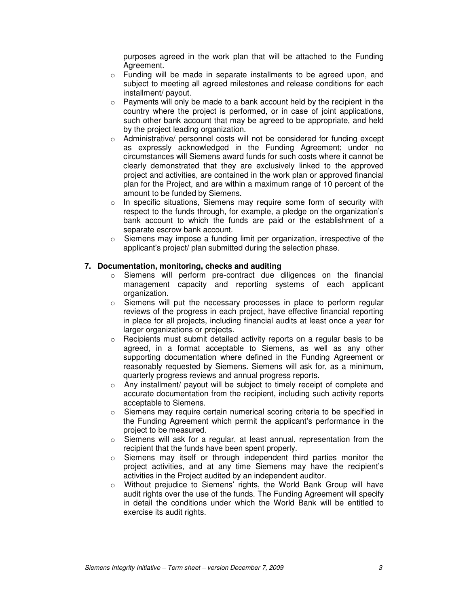purposes agreed in the work plan that will be attached to the Funding Agreement.

- $\circ$  Funding will be made in separate installments to be agreed upon, and subject to meeting all agreed milestones and release conditions for each installment/ payout.
- $\circ$  Payments will only be made to a bank account held by the recipient in the country where the project is performed, or in case of joint applications, such other bank account that may be agreed to be appropriate, and held by the project leading organization.
- o Administrative/ personnel costs will not be considered for funding except as expressly acknowledged in the Funding Agreement; under no circumstances will Siemens award funds for such costs where it cannot be clearly demonstrated that they are exclusively linked to the approved project and activities, are contained in the work plan or approved financial plan for the Project, and are within a maximum range of 10 percent of the amount to be funded by Siemens.
- o In specific situations, Siemens may require some form of security with respect to the funds through, for example, a pledge on the organization's bank account to which the funds are paid or the establishment of a separate escrow bank account.
- $\circ$  Siemens may impose a funding limit per organization, irrespective of the applicant's project/ plan submitted during the selection phase.

#### **7. Documentation, monitoring, checks and auditing**

- o Siemens will perform pre-contract due diligences on the financial management capacity and reporting systems of each applicant organization.
- o Siemens will put the necessary processes in place to perform regular reviews of the progress in each project, have effective financial reporting in place for all projects, including financial audits at least once a year for larger organizations or projects.
- o Recipients must submit detailed activity reports on a regular basis to be agreed, in a format acceptable to Siemens, as well as any other supporting documentation where defined in the Funding Agreement or reasonably requested by Siemens. Siemens will ask for, as a minimum, quarterly progress reviews and annual progress reports.
- $\circ$  Any installment/ payout will be subject to timely receipt of complete and accurate documentation from the recipient, including such activity reports acceptable to Siemens.
- $\circ$  Siemens may require certain numerical scoring criteria to be specified in the Funding Agreement which permit the applicant's performance in the project to be measured.
- $\circ$  Siemens will ask for a regular, at least annual, representation from the recipient that the funds have been spent properly.
- $\circ$  Siemens may itself or through independent third parties monitor the project activities, and at any time Siemens may have the recipient's activities in the Project audited by an independent auditor.
- o Without prejudice to Siemens' rights, the World Bank Group will have audit rights over the use of the funds. The Funding Agreement will specify in detail the conditions under which the World Bank will be entitled to exercise its audit rights.